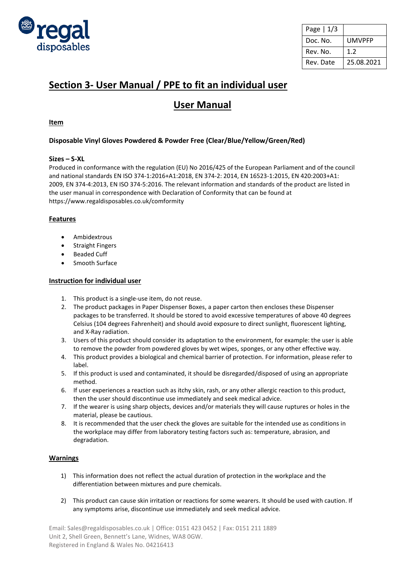

| Page $ 1/3$ |               |
|-------------|---------------|
| Doc. No.    | <b>UMVPFP</b> |
| Rev. No.    | 1.2           |
| Rev. Date   | 25.08.2021    |

# **Section 3- User Manual / PPE to fit an individual user**

# **User Manual**

# **Item**

# **Disposable Vinyl Gloves Powdered & Powder Free (Clear/Blue/Yellow/Green/Red)**

## **Sizes – S-XL**

Produced in conformance with the regulation (EU) No 2016/425 of the European Parliament and of the council and national standards EN ISO 374-1:2016+A1:2018, EN 374-2: 2014, EN 16523-1:2015, EN 420:2003+A1: 2009, EN 374-4:2013, EN ISO 374-5:2016. The relevant information and standards of the product are listed in the user manual in correspondence with Declaration of Conformity that can be found at https://www.regaldisposables.co.uk/comformity

## **Features**

- Ambidextrous
- Straight Fingers
- Beaded Cuff
- Smooth Surface

### **Instruction for individual user**

- 1. This product is a single-use item, do not reuse.
- 2. The product packages in Paper Dispenser Boxes, a paper carton then encloses these Dispenser packages to be transferred. It should be stored to avoid excessive temperatures of above 40 degrees Celsius (104 degrees Fahrenheit) and should avoid exposure to direct sunlight, fluorescent lighting, and X-Ray radiation.
- 3. Users of this product should consider its adaptation to the environment, for example: the user is able to remove the powder from powdered gloves by wet wipes, sponges, or any other effective way.
- 4. This product provides a biological and chemical barrier of protection. For information, please refer to label.
- 5. If this product is used and contaminated, it should be disregarded/disposed of using an appropriate method.
- 6. If user experiences a reaction such as itchy skin, rash, or any other allergic reaction to this product, then the user should discontinue use immediately and seek medical advice.
- 7. If the wearer is using sharp objects, devices and/or materials they will cause ruptures or holes in the material, please be cautious.
- 8. It is recommended that the user check the gloves are suitable for the intended use as conditions in the workplace may differ from laboratory testing factors such as: temperature, abrasion, and degradation.

## **Warnings**

- 1) This information does not reflect the actual duration of protection in the workplace and the differentiation between mixtures and pure chemicals.
- 2) This product can cause skin irritation or reactions for some wearers. It should be used with caution. If any symptoms arise, discontinue use immediately and seek medical advice.

Email: Sales@regaldisposables.co.uk | Office: 0151 423 0452 | Fax: 0151 211 1889 Unit 2, Shell Green, Bennett's Lane, Widnes, WA8 0GW. Registered in England & Wales No. 04216413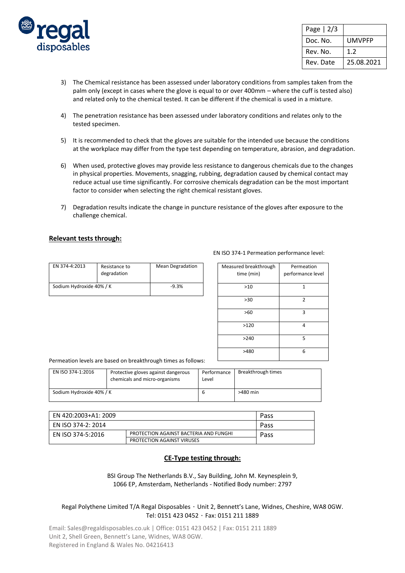

| Page $ 2/3$ |            |
|-------------|------------|
| Doc. No.    | UMVPFP     |
| Rev. No.    | 1.2        |
| Rev. Date   | 25.08.2021 |

- 3) The Chemical resistance has been assessed under laboratory conditions from samples taken from the palm only (except in cases where the glove is equal to or over 400mm – where the cuff is tested also) and related only to the chemical tested. It can be different if the chemical is used in a mixture.
- 4) The penetration resistance has been assessed under laboratory conditions and relates only to the tested specimen.
- 5) It is recommended to check that the gloves are suitable for the intended use because the conditions at the workplace may differ from the type test depending on temperature, abrasion, and degradation.
- 6) When used, protective gloves may provide less resistance to dangerous chemicals due to the changes in physical properties. Movements, snagging, rubbing, degradation caused by chemical contact may reduce actual use time significantly. For corrosive chemicals degradation can be the most important factor to consider when selecting the right chemical resistant gloves.
- 7) Degradation results indicate the change in puncture resistance of the gloves after exposure to the challenge chemical.

#### **Relevant tests through:**

| EN 374-4:2013            | Resistance to<br>degradation | <b>Mean Degradation</b> |
|--------------------------|------------------------------|-------------------------|
| Sodium Hydroxide 40% / K |                              | $-9.3%$                 |

| Measured breakthrough | Permeation        |  |
|-----------------------|-------------------|--|
| time (min)            | performance level |  |
|                       |                   |  |
| >10                   | 1                 |  |
|                       |                   |  |
| >30                   | $\overline{2}$    |  |
|                       |                   |  |
| >60                   | 3                 |  |
|                       |                   |  |
| >120                  | 4                 |  |
|                       |                   |  |
| >240                  | 5                 |  |
|                       |                   |  |
| >480                  | 6                 |  |
|                       |                   |  |

#### Permeation levels are based on breakthrough times as follows:

| EN ISO 374-1:2016        | Protective gloves against dangerous<br>chemicals and micro-organisms | Performance<br>Level | Breakthrough times |
|--------------------------|----------------------------------------------------------------------|----------------------|--------------------|
| Sodium Hydroxide 40% / K |                                                                      | b                    | $>480$ min         |

| EN 420:2003+A1: 2009 |                                        | Pass |  |
|----------------------|----------------------------------------|------|--|
| EN ISO 374-2: 2014   |                                        | Pass |  |
| EN ISO 374-5:2016    | PROTECTION AGAINST BACTERIA AND FUNGHI | Pass |  |
|                      | <b>PROTECTION AGAINST VIRUSES</b>      |      |  |

#### **CE-Type testing through:**

BSI Group The Netherlands B.V., Say Building, John M. Keynesplein 9, 1066 EP, Amsterdam, Netherlands - Notified Body number: 2797

#### Regal Polythene Limited T/A Regal Disposables ・ Unit 2, Bennett's Lane, Widnes, Cheshire, WA8 0GW. Tel: 0151 423 0452 ・ Fax: 0151 211 1889

Email: Sales@regaldisposables.co.uk | Office: 0151 423 0452 | Fax: 0151 211 1889 Unit 2, Shell Green, Bennett's Lane, Widnes, WA8 0GW. Registered in England & Wales No. 04216413

#### EN ISO 374-1 Permeation performance level: